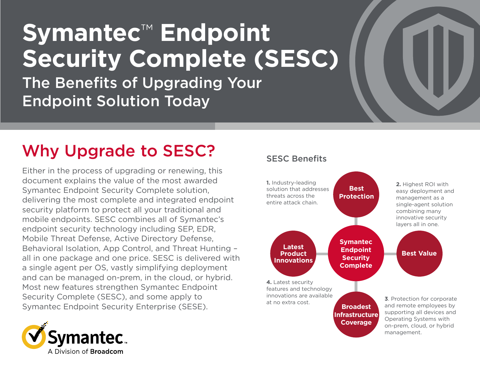# **Symantec**™ **Endpoint Security Complete (SESC)**

The Benefits of Upgrading Your Endpoint Solution Today

### Why Upgrade to SESC?

Either in the process of upgrading or renewing, this document explains the value of the most awarded Symantec Endpoint Security Complete solution, delivering the most complete and integrated endpoint security platform to protect all your traditional and mobile endpoints. SESC combines all of Symantec's endpoint security technology including SEP, EDR, Mobile Threat Defense, Active Directory Defense, Behavioral Isolation, App Control, and Threat Hunting – all in one package and one price. SESC is delivered with a single agent per OS, vastly simplifying deployment and can be managed on-prem, in the cloud, or hybrid. Most new features strengthen Symantec Endpoint Security Complete (SESC), and some apply to Symantec Endpoint Security Enterprise (SESE).

#### SESC Benefits



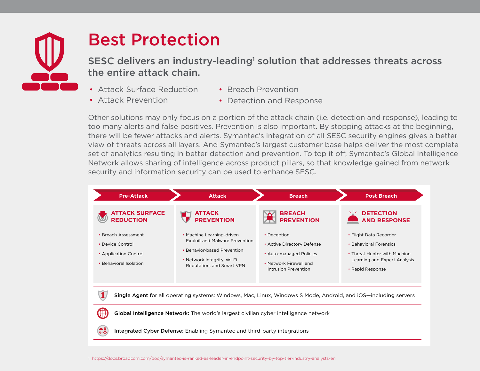

### Best Protection

SESC delivers an industry-leading<sup>1</sup> solution that addresses threats across the entire attack chain.

- Attack Surface Reduction
- Breach Prevention

• Attack Prevention

 $\frac{4}{4}$ 

• Detection and Response

Other solutions may only focus on a portion of the attack chain (i.e. detection and response), leading to too many alerts and false positives. Prevention is also important. By stopping attacks at the beginning, there will be fewer attacks and alerts. Symantec's integration of all SESC security engines gives a better view of threats across all layers. And Symantec's largest customer base helps deliver the most complete set of analytics resulting in better detection and prevention. To top it off, Symantec's Global Intelligence Network allows sharing of intelligence across product pillars, so that knowledge gained from network security and information security can be used to enhance SESC.



Global Intelligence Network: The world's largest civilian cyber intelligence network

Integrated Cyber Defense: Enabling Symantec and third-party integrations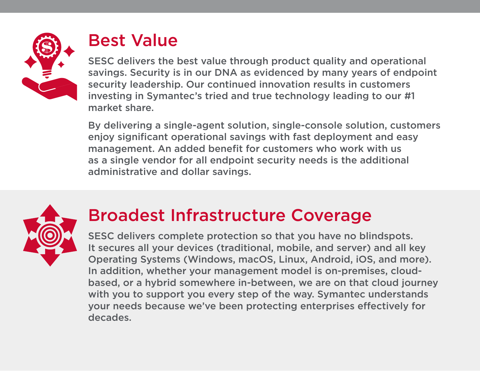

### Best Value

SESC delivers the best value through product quality and operational savings. Security is in our DNA as evidenced by many years of endpoint security leadership. Our continued innovation results in customers investing in Symantec's tried and true technology leading to our #1 market share.

By delivering a single-agent solution, single-console solution, customers enjoy significant operational savings with fast deployment and easy management. An added benefit for customers who work with us as a single vendor for all endpoint security needs is the additional administrative and dollar savings.



#### Broadest Infrastructure Coverage

SESC delivers complete protection so that you have no blindspots. It secures all your devices (traditional, mobile, and server) and all key Operating Systems (Windows, macOS, Linux, Android, iOS, and more). In addition, whether your management model is on-premises, cloudbased, or a hybrid somewhere in-between, we are on that cloud journey with you to support you every step of the way. Symantec understands your needs because we've been protecting enterprises effectively for decades.